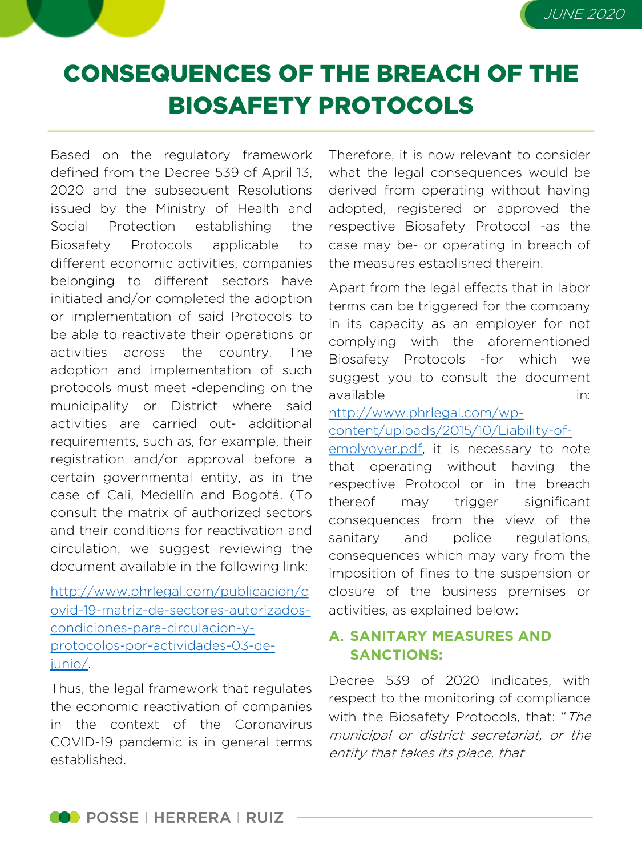# CONSEQUENCES OF THE BREACH OF THE BIOSAFETY PROTOCOLS

Based on the regulatory framework defined from the Decree 539 of April 13, 2020 and the subsequent Resolutions issued by the Ministry of Health and Social Protection establishing the Biosafety Protocols applicable to different economic activities, companies belonging to different sectors have initiated and/or completed the adoption or implementation of said Protocols to be able to reactivate their operations or activities across the country. The adoption and implementation of such protocols must meet -depending on the municipality or District where said activities are carried out- additional requirements, such as, for example, their registration and/or approval before a certain governmental entity, as in the case of Cali, Medellín and Bogotá. (To consult the matrix of authorized sectors and their conditions for [reactivation](http://www.phrlegal.com/publicacion/covid-19-matriz-de-sectores-autorizados-condiciones-para-circulacion-y-protocolos-por-actividades-03-de-junio/) and circulation, we suggest reviewing the document available in the following link:

http://www.phrlegal.com/publicacion/c ovid-19-matriz-de-sectores-autorizadoscondiciones-para-circulacion-yprotocolos-por-actividades-03-dejunio/.

Thus, the legal framework that regulates the economic reactivation of companies in the context of the Coronavirus COVID-19 pandemic is in general terms established.

Therefore, it is now relevant to consider what the legal consequences would be derived from operating without having adopted, registered or approved the respective Biosafety Protocol -as the case may be- or operating in breach of the measures established therein.

Apart from the legal effects that in labor terms can be triggered for the company in its capacity as an employer for not complying with the [aforemention](http://www.phrlegal.com/wp-content/uploads/2015/10/Liability-of-emplyoyer.pdf)ed Biosafety Protocols -for which we suggest you to consult the document available in:

http://www.phrlegal.com/wp-

## content/uploads/2015/10/Liability-of-

emplyoyer.pdf, it is necessary to note that operating without having the respective Protocol or in the breach thereof may trigger significant consequences from the view of the sanitary and police regulations, consequences which may vary from the imposition of fines to the suspension or closure of the business premises or activities, as explained below:

## **A. SANITARY MEASURES AND SANCTIONS:**

Decree 539 of 2020 indicates, with respect to the monitoring of compliance with the Biosafety Protocols, that: "The municipal or district secretariat, or the entity that takes its place, that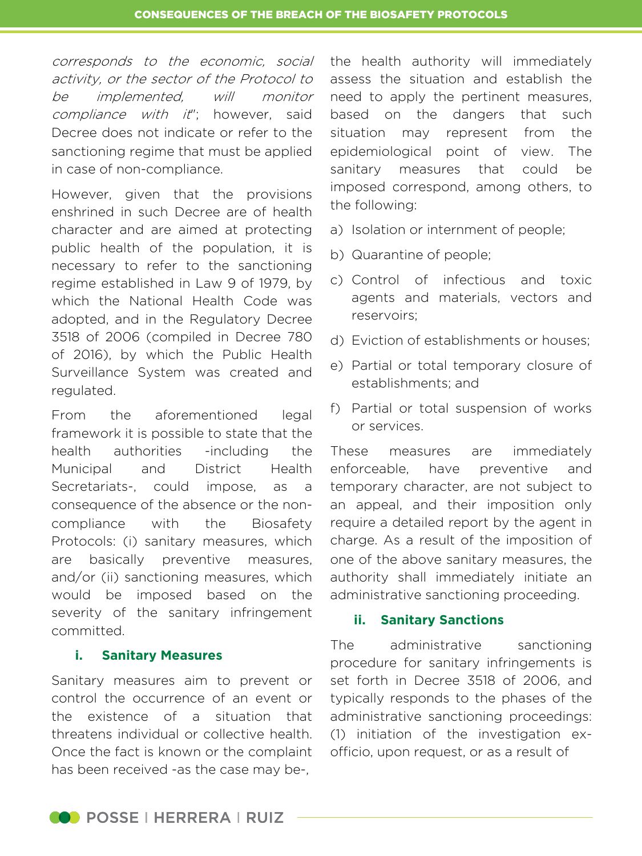corresponds to the economic, social activity, or the sector of the Protocol to be implemented, will monitor compliance with it"; however, said Decree does not indicate or refer to the sanctioning regime that must be applied in case of non-compliance.

However, given that the provisions enshrined in such Decree are of health character and are aimed at protecting public health of the population, it is necessary to refer to the sanctioning regime established in Law 9 of 1979, by which the National Health Code was adopted, and in the Regulatory Decree 3518 of 2006 (compiled in Decree 780 of 2016), by which the Public Health Surveillance System was created and regulated.

From the aforementioned legal framework it is possible to state that the health authorities -including the Municipal and District Health Secretariats-, could impose, as a consequence of the absence or the noncompliance with the Biosafety Protocols: (i) sanitary measures, which are basically preventive measures, and/or (ii) sanctioning measures, which would be imposed based on the severity of the sanitary infringement committed.

#### **i. Sanitary Measures**

Sanitary measures aim to prevent or control the occurrence of an event or the existence of a situation that threatens individual or collective health. Once the fact is known or the complaint has been received -as the case may be-,

the health authority will immediately assess the situation and establish the need to apply the pertinent measures, based on the dangers that such situation may represent from the epidemiological point of view. The sanitary measures that could be imposed correspond, among others, to the following:

- a) Isolation or internment of people;
- b) Quarantine of people;
- c) Control of infectious and toxic agents and materials, vectors and reservoirs;
- d) Eviction of establishments or houses;
- e) Partial or total temporary closure of establishments; and
- f) Partial or total suspension of works or services.

These measures are immediately enforceable, have preventive and temporary character, are not subject to an appeal, and their imposition only require a detailed report by the agent in charge. As a result of the imposition of one of the above sanitary measures, the authority shall immediately initiate an administrative sanctioning proceeding.

#### **ii. Sanitary Sanctions**

The administrative sanctioning procedure for sanitary infringements is set forth in Decree 3518 of 2006, and typically responds to the phases of the administrative sanctioning proceedings: (1) initiation of the investigation exofficio, upon request, or as a result of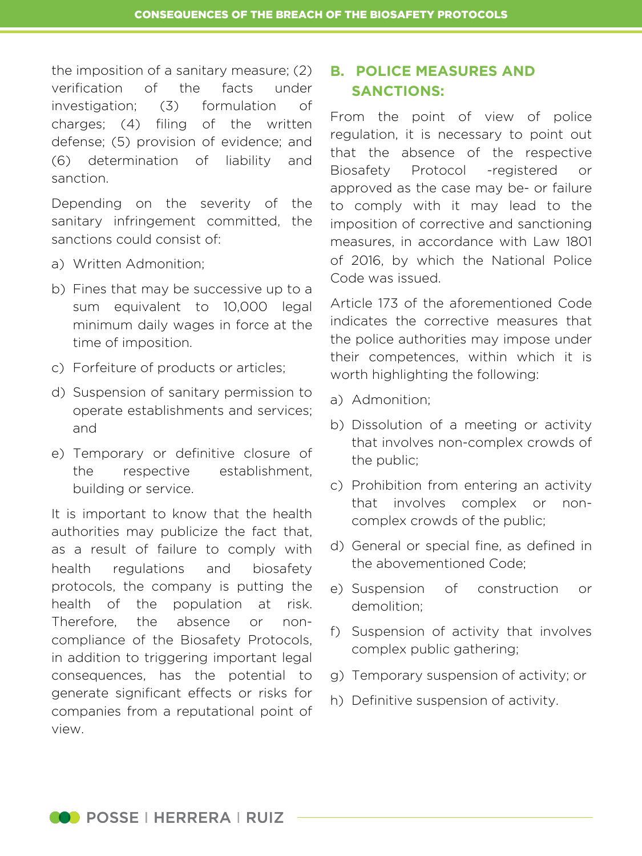the imposition of a sanitary measure; (2) verification of the facts under investigation; (3) formulation of charges; (4) filing of the written defense; (5) provision of evidence; and (6) determination of liability and sanction.

Depending on the severity of the sanitary infringement committed, the sanctions could consist of:

- a) Written Admonition;
- b) Fines that may be successive up to a sum equivalent to 10,000 legal minimum daily wages in force at the time of imposition.
- c) Forfeiture of products or articles;
- d) Suspension of sanitary permission to operate establishments and services; and
- e) Temporary or definitive closure of the respective establishment, building or service.

It is important to know that the health authorities may publicize the fact that, as a result of failure to comply with health regulations and biosafety protocols, the company is putting the health of the population at risk. Therefore, the absence or noncompliance of the Biosafety Protocols, in addition to triggering important legal consequences, has the potential to generate significant effects or risks for companies from a reputational point of view.

### **B. POLICE MEASURES AND SANCTIONS:**

From the point of view of police regulation, it is necessary to point out that the absence of the respective Biosafety Protocol -registered or approved as the case may be- or failure to comply with it may lead to the imposition of corrective and sanctioning measures, in accordance with Law 1801 of 2016, by which the National Police Code was issued.

Article 173 of the aforementioned Code indicates the corrective measures that the police authorities may impose under their competences, within which it is worth highlighting the following:

- a) Admonition;
- b) Dissolution of a meeting or activity that involves non-complex crowds of the public;
- c) Prohibition from entering an activity that involves complex or noncomplex crowds of the public;
- d) General or special fine, as defined in the abovementioned Code;
- e) Suspension of construction or demolition;
- f) Suspension of activity that involves complex public gathering;
- g) Temporary suspension of activity; or
- h) Definitive suspension of activity.